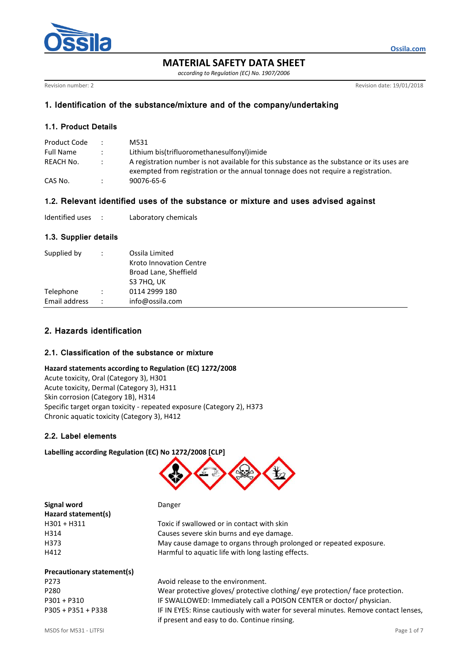

**MATERIAL SAFETY DATA SHEET**

*according to Regulation (EC) No. 1907/2006*

Revision number: 2 **Revision date: 19/01/2018** 

**Ossila.com**

# **1. Identification of the substance/mixture and of the company/undertaking**

# **1.1. Product Details**

| Product Code     | $\mathcal{L}$ | M531                                                                                                                                                                            |
|------------------|---------------|---------------------------------------------------------------------------------------------------------------------------------------------------------------------------------|
| <b>Full Name</b> |               | Lithium bis(trifluoromethanesulfonyl)imide                                                                                                                                      |
| REACH No.        | $\mathcal{L}$ | A registration number is not available for this substance as the substance or its uses are<br>exempted from registration or the annual tonnage does not require a registration. |
| CAS No.          |               | 90076-65-6                                                                                                                                                                      |

# **1.2. Relevant identified uses of the substance or mixture and uses advised against**

| Identified uses |  | Laboratory chemicals |
|-----------------|--|----------------------|
|-----------------|--|----------------------|

# **1.3. Supplier details**

| Supplied by   | $\ddot{\cdot}$       | Ossila Limited<br><b>Kroto Innovation Centre</b><br>Broad Lane, Sheffield<br>S3 7HQ, UK |
|---------------|----------------------|-----------------------------------------------------------------------------------------|
| Telephone     | $\ddot{\phantom{0}}$ | 0114 2999 180                                                                           |
| Email address | $\cdot$ :            | info@ossila.com                                                                         |
|               |                      |                                                                                         |

# **2. Hazards identification**

## **2.1. Classification of the substance or mixture**

#### **Hazard statements according to Regulation (EC) 1272/2008**

Acute toxicity, Oral (Category 3), H301 Acute toxicity, Dermal (Category 3), H311 Skin corrosion (Category 1B), H314 Specific target organ toxicity - repeated exposure (Category 2), H373 Chronic aquatic toxicity (Category 3), H412

## **2.2. Label elements**

## **Labelling according Regulation (EC) No 1272/2008 [CLP]**



| Signal word         | Danger                                                             |
|---------------------|--------------------------------------------------------------------|
| Hazard statement(s) |                                                                    |
| $H301 + H311$       | Toxic if swallowed or in contact with skin                         |
| H314                | Causes severe skin burns and eve damage.                           |
| H373                | May cause damage to organs through prolonged or repeated exposure. |
| H412                | Harmful to aquatic life with long lasting effects.                 |

# **Precautionary statement(s)** P273 Avoid release to the environment.

P280 Wear protective gloves/ protective clothing/ eye protection/ face protection. P301 + P310 IF SWALLOWED: Immediately call a POISON CENTER or doctor/ physician. P305 + P351 + P338 IF IN EYES: Rinse cautiously with water for several minutes. Remove contact lenses, if present and easy to do. Continue rinsing.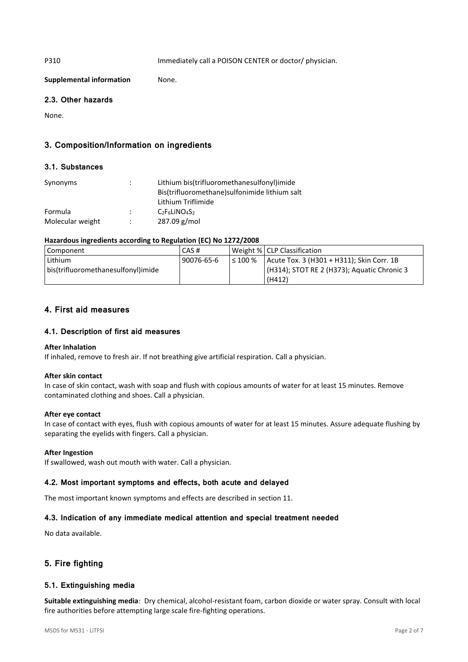P310 Immediately call a POISON CENTER or doctor/ physician.

**Supplemental information** None.

# **2.3. Other hazards**

None.

# **3. Composition/Information on ingredients**

# **3.1. Substances**

| Synonyms         |                | Lithium bis(trifluoromethanesulfonyl)imide     |
|------------------|----------------|------------------------------------------------|
|                  |                | Bis(trifluoromethane) sulfonimide lithium salt |
|                  |                | Lithium Triflimide                             |
| Formula          | $\mathbb{R}^n$ | $C_2F_6LiNO4S2$                                |
| Molecular weight |                | $287.09$ g/mol                                 |

# **Hazardous ingredients according to Regulation (EC) No 1272/2008**

| Component                          | CAS #      |              | Weight %   CLP Classification               |
|------------------------------------|------------|--------------|---------------------------------------------|
| Lithium                            | 90076-65-6 | $\leq 100\%$ | Acute Tox. 3 (H301 + H311); Skin Corr. 1B   |
| bis(trifluoromethanesulfonyl)imide |            |              | (H314); STOT RE 2 (H373); Aquatic Chronic 3 |
|                                    |            |              | (H412)                                      |

# **4. First aid measures**

# **4.1. Description of first aid measures**

## **After Inhalation**

If inhaled, remove to fresh air. If not breathing give artificial respiration. Call a physician.

## **After skin contact**

In case of skin contact, wash with soap and flush with copious amounts of water for at least 15 minutes. Remove contaminated clothing and shoes. Call a physician.

## **After eye contact**

In case of contact with eyes, flush with copious amounts of water for at least 15 minutes. Assure adequate flushing by separating the eyelids with fingers. Call a physician.

## **After Ingestion**

If swallowed, wash out mouth with water. Call a physician.

## **4.2. Most important symptoms and effects, both acute and delayed**

The most important known symptoms and effects are described in section 11.

# **4.3. Indication of any immediate medical attention and special treatment needed**

No data available.

# **5. Fire fighting**

## **5.1. Extinguishing media**

**Suitable extinguishing media**: Dry chemical, alcohol-resistant foam, carbon dioxide or water spray. Consult with local fire authorities before attempting large scale fire-fighting operations.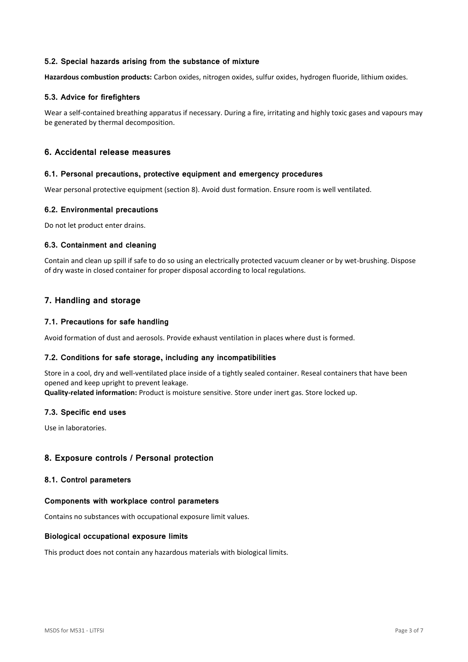# **5.2. Special hazards arising from the substance of mixture**

**Hazardous combustion products:** Carbon oxides, nitrogen oxides, sulfur oxides, hydrogen fluoride, lithium oxides.

# **5.3. Advice for firefighters**

Wear a self-contained breathing apparatus if necessary. During a fire, irritating and highly toxic gases and vapours may be generated by thermal decomposition.

# **6. Accidental release measures**

#### **6.1. Personal precautions, protective equipment and emergency procedures**

Wear personal protective equipment (section 8). Avoid dust formation. Ensure room is well ventilated.

## **6.2. Environmental precautions**

Do not let product enter drains.

## **6.3. Containment and cleaning**

Contain and clean up spill if safe to do so using an electrically protected vacuum cleaner or by wet-brushing. Dispose of dry waste in closed container for proper disposal according to local regulations.

# **7. Handling and storage**

## **7.1. Precautions for safe handling**

Avoid formation of dust and aerosols. Provide exhaust ventilation in places where dust is formed.

## **7.2. Conditions for safe storage, including any incompatibilities**

Store in a cool, dry and well-ventilated place inside of a tightly sealed container. Reseal containers that have been opened and keep upright to prevent leakage.

**Quality-related information:** Product is moisture sensitive. Store under inert gas. Store locked up.

## **7.3. Specific end uses**

Use in laboratories.

# **8. Exposure controls / Personal protection**

## **8.1. Control parameters**

## **Components with workplace control parameters**

Contains no substances with occupational exposure limit values.

## **Biological occupational exposure limits**

This product does not contain any hazardous materials with biological limits.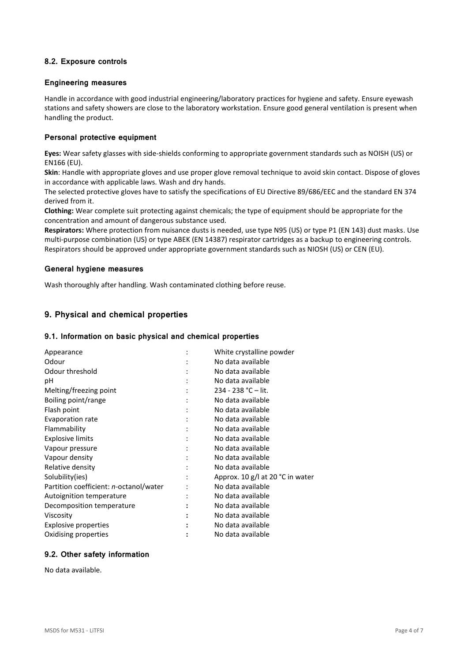# **8.2. Exposure controls**

## **Engineering measures**

Handle in accordance with good industrial engineering/laboratory practices for hygiene and safety. Ensure eyewash stations and safety showers are close to the laboratory workstation. Ensure good general ventilation is present when handling the product.

## **Personal protective equipment**

**Eyes:** Wear safety glasses with side-shields conforming to appropriate government standards such as NOISH (US) or EN166 (EU).

**Skin**: Handle with appropriate gloves and use proper glove removal technique to avoid skin contact. Dispose of gloves in accordance with applicable laws. Wash and dry hands.

The selected protective gloves have to satisfy the specifications of EU Directive 89/686/EEC and the standard EN 374 derived from it.

**Clothing:** Wear complete suit protecting against chemicals; the type of equipment should be appropriate for the concentration and amount of dangerous substance used.

**Respirators:** Where protection from nuisance dusts is needed, use type N95 (US) or type P1 (EN 143) dust masks. Use multi-purpose combination (US) or type ABEK (EN 14387) respirator cartridges as a backup to engineering controls. Respirators should be approved under appropriate government standards such as NIOSH (US) or CEN (EU).

#### **General hygiene measures**

Wash thoroughly after handling. Wash contaminated clothing before reuse.

# **9. Physical and chemical properties**

#### **9.1. Information on basic physical and chemical properties**

| Appearance                             | White crystalline powder         |
|----------------------------------------|----------------------------------|
| Odour                                  | No data available                |
| Odour threshold                        | No data available                |
| рH                                     | No data available                |
| Melting/freezing point                 | $234 - 238$ °C – lit.            |
| Boiling point/range                    | No data available                |
| Flash point                            | No data available                |
| Evaporation rate                       | No data available                |
| Flammability                           | No data available                |
| <b>Explosive limits</b>                | No data available                |
| Vapour pressure                        | No data available                |
| Vapour density                         | No data available                |
| Relative density                       | No data available                |
| Solubility(ies)                        | Approx. 10 g/l at 20 °C in water |
| Partition coefficient: n-octanol/water | No data available                |
| Autoignition temperature               | No data available                |
| Decomposition temperature              | No data available                |
| Viscosity                              | No data available                |
| Explosive properties                   | No data available                |
| Oxidising properties                   | No data available                |
|                                        |                                  |

# **9.2. Other safety information**

No data available.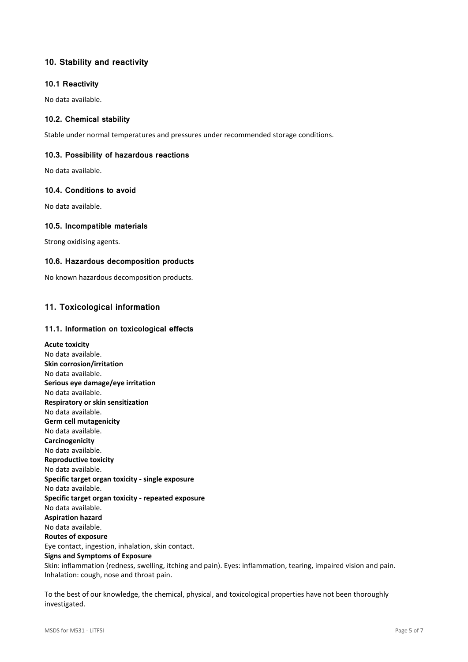# **10. Stability and reactivity**

## **10.1 Reactivity**

No data available.

# **10.2. Chemical stability**

Stable under normal temperatures and pressures under recommended storage conditions.

# **10.3. Possibility of hazardous reactions**

No data available.

# **10.4. Conditions to avoid**

No data available.

## **10.5. Incompatible materials**

Strong oxidising agents.

## **10.6. Hazardous decomposition products**

No known hazardous decomposition products.

# **11. Toxicological information**

## **11.1. Information on toxicological effects**

**Acute toxicity** No data available. **Skin corrosion/irritation** No data available. **Serious eye damage/eye irritation** No data available. **Respiratory or skin sensitization** No data available. **Germ cell mutagenicity** No data available. **Carcinogenicity** No data available. **Reproductive toxicity** No data available. **Specific target organ toxicity - single exposure** No data available. **Specific target organ toxicity - repeated exposure** No data available. **Aspiration hazard** No data available. **Routes of exposure** Eye contact, ingestion, inhalation, skin contact. **Signs and Symptoms of Exposure** Skin: inflammation (redness, swelling, itching and pain). Eyes: inflammation, tearing, impaired vision and pain. Inhalation: cough, nose and throat pain.

To the best of our knowledge, the chemical, physical, and toxicological properties have not been thoroughly investigated.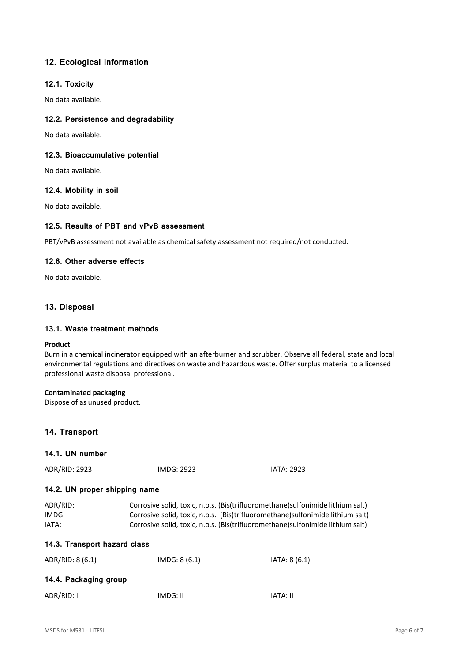# **12. Ecological information**

## **12.1. Toxicity**

No data available.

# **12.2. Persistence and degradability**

No data available.

## **12.3. Bioaccumulative potential**

No data available.

## **12.4. Mobility in soil**

No data available.

# **12.5. Results of PBT and vPvB assessment**

PBT/vPvB assessment not available as chemical safety assessment not required/not conducted.

## **12.6. Other adverse effects**

No data available.

# **13. Disposal**

## **13.1. Waste treatment methods**

#### **Product**

Burn in a chemical incinerator equipped with an afterburner and scrubber. Observe all federal, state and local environmental regulations and directives on waste and hazardous waste. Offer surplus material to a licensed professional waste disposal professional.

## **Contaminated packaging**

Dispose of as unused product.

# **14. Transport**

# **14.1. UN number**

ADR/RID: 2923 IMDG: 2923 IATA: 2923

# **14.2. UN proper shipping name**

| ADR/RID: | Corrosive solid, toxic, n.o.s. (Bis(trifluoromethane) sulfonimide lithium salt) |
|----------|---------------------------------------------------------------------------------|
| IMDG:    | Corrosive solid, toxic, n.o.s. (Bis(trifluoromethane) sulfonimide lithium salt) |
| IATA:    | Corrosive solid, toxic, n.o.s. (Bis(trifluoromethane) sulfonimide lithium salt) |

# **14.3. Transport hazard class**

| ADR/RID: 8 (6.1)      | IMDG: 8(6.1) | IATA: 8 (6.1) |
|-----------------------|--------------|---------------|
| 14.4. Packaging group |              |               |
| ADR/RID: II           | IMDG: II     | IATA: II      |